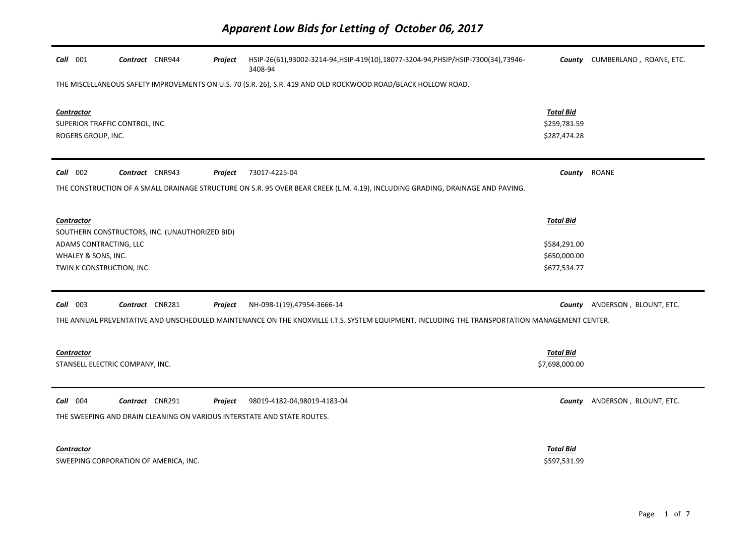| Call 001                                                                                                                                      | Contract CNR944                                                         | Project | HSIP-26(61),93002-3214-94,HSIP-419(10),18077-3204-94,PHSIP/HSIP-7300(34),73946-<br>3408-94                                     |                                                  | County CUMBERLAND, ROANE, ETC. |
|-----------------------------------------------------------------------------------------------------------------------------------------------|-------------------------------------------------------------------------|---------|--------------------------------------------------------------------------------------------------------------------------------|--------------------------------------------------|--------------------------------|
| THE MISCELLANEOUS SAFETY IMPROVEMENTS ON U.S. 70 (S.R. 26), S.R. 419 AND OLD ROCKWOOD ROAD/BLACK HOLLOW ROAD.                                 |                                                                         |         |                                                                                                                                |                                                  |                                |
| <b>Contractor</b><br>SUPERIOR TRAFFIC CONTROL, INC.<br>ROGERS GROUP, INC.                                                                     |                                                                         |         |                                                                                                                                | <b>Total Bid</b><br>\$259,781.59<br>\$287,474.28 |                                |
| Call 002                                                                                                                                      | Contract CNR943                                                         | Project | 73017-4225-04                                                                                                                  | County ROANE                                     |                                |
|                                                                                                                                               |                                                                         |         | THE CONSTRUCTION OF A SMALL DRAINAGE STRUCTURE ON S.R. 95 OVER BEAR CREEK (L.M. 4.19), INCLUDING GRADING, DRAINAGE AND PAVING. |                                                  |                                |
| <b>Contractor</b>                                                                                                                             |                                                                         |         |                                                                                                                                | <b>Total Bid</b>                                 |                                |
|                                                                                                                                               | SOUTHERN CONSTRUCTORS, INC. (UNAUTHORIZED BID)                          |         |                                                                                                                                |                                                  |                                |
| ADAMS CONTRACTING, LLC<br>WHALEY & SONS, INC.                                                                                                 |                                                                         |         |                                                                                                                                | \$584,291.00<br>\$650,000.00                     |                                |
| TWIN K CONSTRUCTION, INC.                                                                                                                     |                                                                         |         |                                                                                                                                | \$677,534.77                                     |                                |
|                                                                                                                                               |                                                                         |         |                                                                                                                                |                                                  |                                |
| $Call$ 003                                                                                                                                    | Contract CNR281                                                         | Project | NH-098-1(19),47954-3666-14                                                                                                     | County                                           | ANDERSON, BLOUNT, ETC.         |
| THE ANNUAL PREVENTATIVE AND UNSCHEDULED MAINTENANCE ON THE KNOXVILLE I.T.S. SYSTEM EQUIPMENT, INCLUDING THE TRANSPORTATION MANAGEMENT CENTER. |                                                                         |         |                                                                                                                                |                                                  |                                |
| <b>Contractor</b><br>STANSELL ELECTRIC COMPANY, INC.                                                                                          |                                                                         |         |                                                                                                                                | <b>Total Bid</b><br>\$7,698,000.00               |                                |
| Call 004                                                                                                                                      | Contract CNR291                                                         | Project | 98019-4182-04,98019-4183-04                                                                                                    |                                                  | County ANDERSON, BLOUNT, ETC.  |
|                                                                                                                                               | THE SWEEPING AND DRAIN CLEANING ON VARIOUS INTERSTATE AND STATE ROUTES. |         |                                                                                                                                |                                                  |                                |
|                                                                                                                                               |                                                                         |         |                                                                                                                                |                                                  |                                |
| <b>Contractor</b>                                                                                                                             |                                                                         |         |                                                                                                                                | <b>Total Bid</b>                                 |                                |
|                                                                                                                                               | SWEEPING CORPORATION OF AMERICA, INC.                                   |         |                                                                                                                                | \$597,531.99                                     |                                |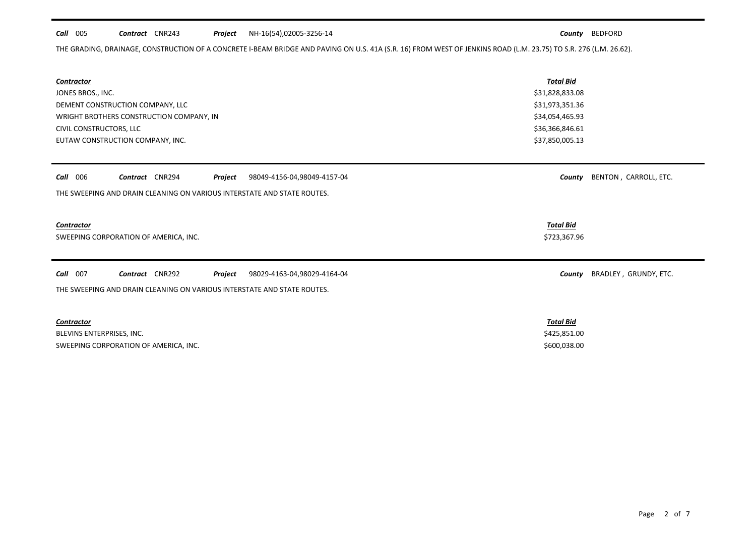# *Call* 005 *Contract* CNR243 *Project County* BEDFORD NH-16(54),02005-3256-14

THE GRADING, DRAINAGE, CONSTRUCTION OF A CONCRETE I-BEAM BRIDGE AND PAVING ON U.S. 41A (S.R. 16) FROM WEST OF JENKINS ROAD (L.M. 23.75) TO S.R. 276 (L.M. 26.62).

| <b>Contractor</b><br>JONES BROS., INC.<br>DEMENT CONSTRUCTION COMPANY, LLC<br>WRIGHT BROTHERS CONSTRUCTION COMPANY, IN<br>CIVIL CONSTRUCTORS, LLC<br>EUTAW CONSTRUCTION COMPANY, INC. | <b>Total Bid</b><br>\$31,828,833.08<br>\$31,973,351.36<br>\$34,054,465.93<br>\$36,366,846.61<br>\$37,850,005.13 |
|---------------------------------------------------------------------------------------------------------------------------------------------------------------------------------------|-----------------------------------------------------------------------------------------------------------------|
| <b>Call</b> 006<br>Contract CNR294<br>Project<br>98049-4156-04,98049-4157-04<br>THE SWEEPING AND DRAIN CLEANING ON VARIOUS INTERSTATE AND STATE ROUTES.                               | BENTON, CARROLL, ETC.<br>County                                                                                 |
|                                                                                                                                                                                       |                                                                                                                 |
| <b>Contractor</b>                                                                                                                                                                     | <b>Total Bid</b>                                                                                                |
| SWEEPING CORPORATION OF AMERICA, INC.                                                                                                                                                 | \$723,367.96                                                                                                    |
| Call 007<br>Contract CNR292<br>Project<br>98029-4163-04,98029-4164-04                                                                                                                 | BRADLEY, GRUNDY, ETC.<br>County                                                                                 |
| THE SWEEPING AND DRAIN CLEANING ON VARIOUS INTERSTATE AND STATE ROUTES.                                                                                                               |                                                                                                                 |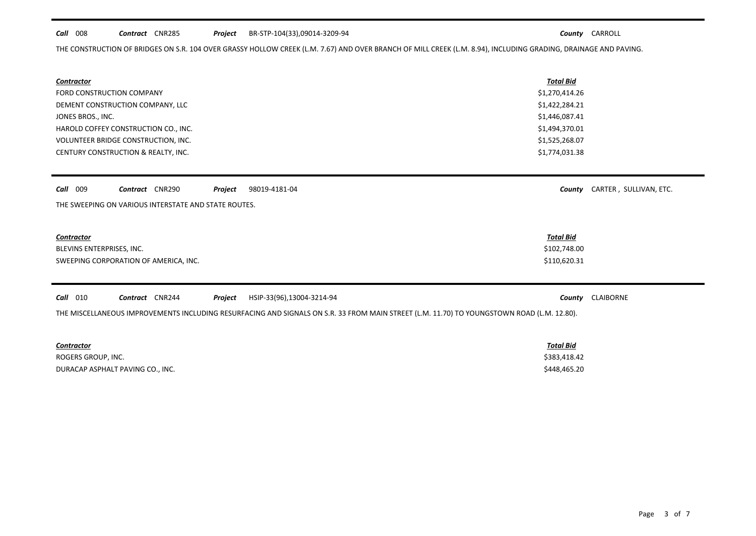# *Call* 008 *Contract* CNR285 *Project County* CARROLL BR-STP-104(33),09014-3209-94

*County* CARTER, SULLIVAN, ETC.

THE CONSTRUCTION OF BRIDGES ON S.R. 104 OVER GRASSY HOLLOW CREEK (L.M. 7.67) AND OVER BRANCH OF MILL CREEK (L.M. 8.94), INCLUDING GRADING, DRAINAGE AND PAVING.

| Contractor                           | <b>Total Bid</b> |
|--------------------------------------|------------------|
| FORD CONSTRUCTION COMPANY            | \$1,270,414.26   |
| DEMENT CONSTRUCTION COMPANY, LLC     | \$1,422,284.21   |
| JONES BROS., INC.                    | \$1,446,087.41   |
| HAROLD COFFEY CONSTRUCTION CO., INC. | \$1,494,370.01   |
| VOLUNTEER BRIDGE CONSTRUCTION, INC.  | \$1,525,268.07   |
| CENTURY CONSTRUCTION & REALTY, INC.  | \$1,774,031.38   |

| Call 009 |  | Contract CNR290 |  | Project | 98019-4181-04 |
|----------|--|-----------------|--|---------|---------------|
|----------|--|-----------------|--|---------|---------------|

THE SWEEPING ON VARIOUS INTERSTATE AND STATE ROUTES.

## *Contractor Total Bid*

BLEVINS ENTERPRISES, INC. \$102,748.00 SWEEPING CORPORATION OF AMERICA, INC. THE STATE OF A STATE AND STATE OF THE STATE OF STATE STATES AND STATE STATES AND STATE STATES AND STATES AND STATES AND STATES AND STATES AND STATES AND STATES AND STATES AND STATES AN

*Call* 010 *Contract* CNR244 *Project County* CLAIBORNE HSIP-33(96),13004-3214-94

THE MISCELLANEOUS IMPROVEMENTS INCLUDING RESURFACING AND SIGNALS ON S.R. 33 FROM MAIN STREET (L.M. 11.70) TO YOUNGSTOWN ROAD (L.M. 12.80).

| <b>Contractor</b>                | Total Bid    |
|----------------------------------|--------------|
| ROGERS GROUP, INC.               | \$383,418.42 |
| DURACAP ASPHALT PAVING CO., INC. | \$448,465.20 |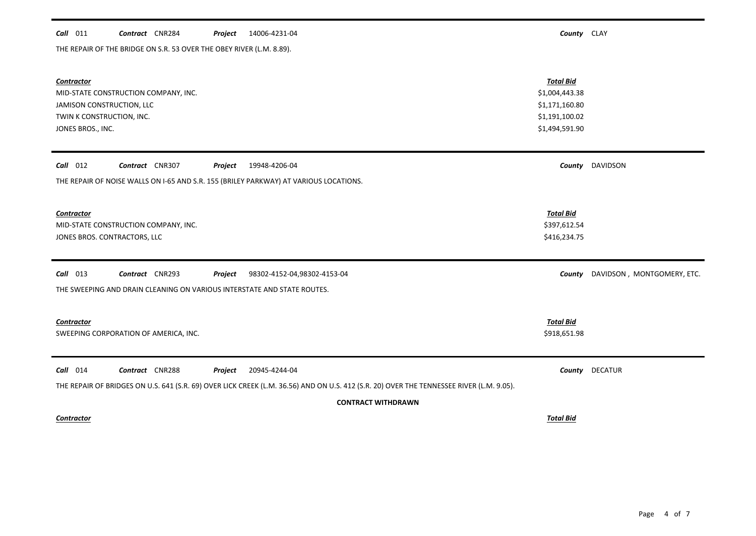# *Call* 011 *Contract* CNR284 *Project County* CLAY 14006-4231-04

THE REPAIR OF THE BRIDGE ON S.R. 53 OVER THE OBEY RIVER (L.M. 8.89).

| Contractor                                                                                                                               | <b>Total Bid</b> |                            |  |  |  |
|------------------------------------------------------------------------------------------------------------------------------------------|------------------|----------------------------|--|--|--|
| MID-STATE CONSTRUCTION COMPANY, INC.                                                                                                     | \$1,004,443.38   |                            |  |  |  |
| JAMISON CONSTRUCTION, LLC                                                                                                                | \$1,171,160.80   |                            |  |  |  |
| TWIN K CONSTRUCTION, INC.                                                                                                                | \$1,191,100.02   |                            |  |  |  |
| JONES BROS., INC.                                                                                                                        | \$1,494,591.90   |                            |  |  |  |
|                                                                                                                                          |                  |                            |  |  |  |
| $Call$ 012<br>Contract CNR307<br>19948-4206-04<br>Project                                                                                | County           | DAVIDSON                   |  |  |  |
| THE REPAIR OF NOISE WALLS ON I-65 AND S.R. 155 (BRILEY PARKWAY) AT VARIOUS LOCATIONS.                                                    |                  |                            |  |  |  |
|                                                                                                                                          |                  |                            |  |  |  |
| <b>Contractor</b>                                                                                                                        | <b>Total Bid</b> |                            |  |  |  |
| MID-STATE CONSTRUCTION COMPANY, INC.                                                                                                     | \$397,612.54     |                            |  |  |  |
| JONES BROS. CONTRACTORS, LLC                                                                                                             | \$416,234.75     |                            |  |  |  |
| $Call$ 013<br>Contract CNR293<br>Project<br>98302-4152-04,98302-4153-04                                                                  | County           | DAVIDSON, MONTGOMERY, ETC. |  |  |  |
| THE SWEEPING AND DRAIN CLEANING ON VARIOUS INTERSTATE AND STATE ROUTES.                                                                  |                  |                            |  |  |  |
|                                                                                                                                          |                  |                            |  |  |  |
| Contractor                                                                                                                               | <b>Total Bid</b> |                            |  |  |  |
| SWEEPING CORPORATION OF AMERICA, INC.                                                                                                    | \$918,651.98     |                            |  |  |  |
|                                                                                                                                          |                  |                            |  |  |  |
| $Call$ 014<br>Contract CNR288<br>Project<br>20945-4244-04                                                                                | County           | <b>DECATUR</b>             |  |  |  |
| THE REPAIR OF BRIDGES ON U.S. 641 (S.R. 69) OVER LICK CREEK (L.M. 36.56) AND ON U.S. 412 (S.R. 20) OVER THE TENNESSEE RIVER (L.M. 9.05). |                  |                            |  |  |  |
| <b>CONTRACT WITHDRAWN</b>                                                                                                                |                  |                            |  |  |  |
| <b>Contractor</b>                                                                                                                        | <b>Total Bid</b> |                            |  |  |  |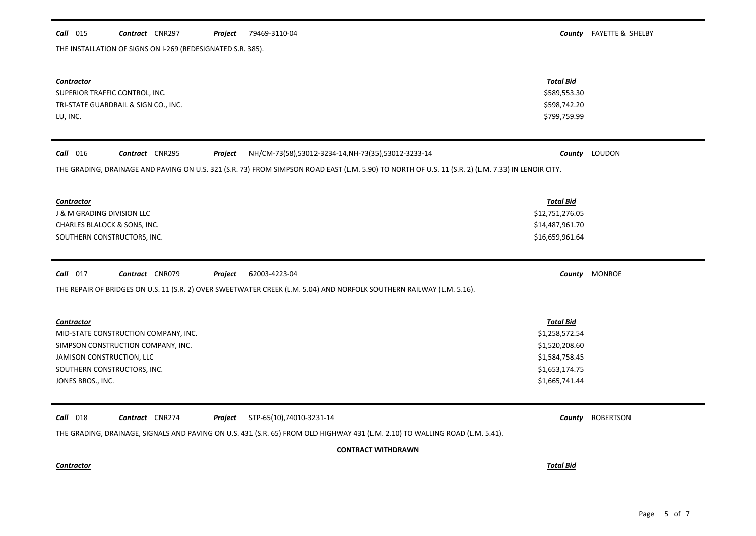### *Call* 015 *Contract* CNR297 *Project County* FAYETTE & SHELBY Project 79469-3110-04

THE INSTALLATION OF SIGNS ON I-269 (REDESIGNATED S.R. 385).

| <b>Contractor</b><br>SUPERIOR TRAFFIC CONTROL, INC.<br>TRI-STATE GUARDRAIL & SIGN CO., INC.<br>LU, INC.                                                                                                                          | <b>Total Bid</b><br>\$589,553.30<br>\$598,742.20<br>\$799,759.99                                           |                  |
|----------------------------------------------------------------------------------------------------------------------------------------------------------------------------------------------------------------------------------|------------------------------------------------------------------------------------------------------------|------------------|
| Call 016<br>Contract CNR295<br>Project<br>NH/CM-73(58),53012-3234-14,NH-73(35),53012-3233-14                                                                                                                                     | County                                                                                                     | LOUDON           |
| THE GRADING, DRAINAGE AND PAVING ON U.S. 321 (S.R. 73) FROM SIMPSON ROAD EAST (L.M. 5.90) TO NORTH OF U.S. 11 (S.R. 2) (L.M. 7.33) IN LENOIR CITY.                                                                               |                                                                                                            |                  |
| <b>Contractor</b><br>J & M GRADING DIVISION LLC<br>CHARLES BLALOCK & SONS, INC.<br>SOUTHERN CONSTRUCTORS, INC.                                                                                                                   | <b>Total Bid</b><br>\$12,751,276.05<br>\$14,487,961.70<br>\$16,659,961.64                                  |                  |
| $Call$ 017<br>Contract CNR079<br>62003-4223-04<br>Project<br>THE REPAIR OF BRIDGES ON U.S. 11 (S.R. 2) OVER SWEETWATER CREEK (L.M. 5.04) AND NORFOLK SOUTHERN RAILWAY (L.M. 5.16).                                               |                                                                                                            | County MONROE    |
| <b>Contractor</b><br>MID-STATE CONSTRUCTION COMPANY, INC.<br>SIMPSON CONSTRUCTION COMPANY, INC.<br>JAMISON CONSTRUCTION, LLC<br>SOUTHERN CONSTRUCTORS, INC.<br>JONES BROS., INC.                                                 | <b>Total Bid</b><br>\$1,258,572.54<br>\$1,520,208.60<br>\$1,584,758.45<br>\$1,653,174.75<br>\$1,665,741.44 |                  |
| Call 018<br>Contract CNR274<br>STP-65(10),74010-3231-14<br>Project<br>THE GRADING, DRAINAGE, SIGNALS AND PAVING ON U.S. 431 (S.R. 65) FROM OLD HIGHWAY 431 (L.M. 2.10) TO WALLING ROAD (L.M. 5.41).<br><b>CONTRACT WITHDRAWN</b> | County                                                                                                     | <b>ROBERTSON</b> |
| <b>Contractor</b>                                                                                                                                                                                                                | <b>Total Bid</b>                                                                                           |                  |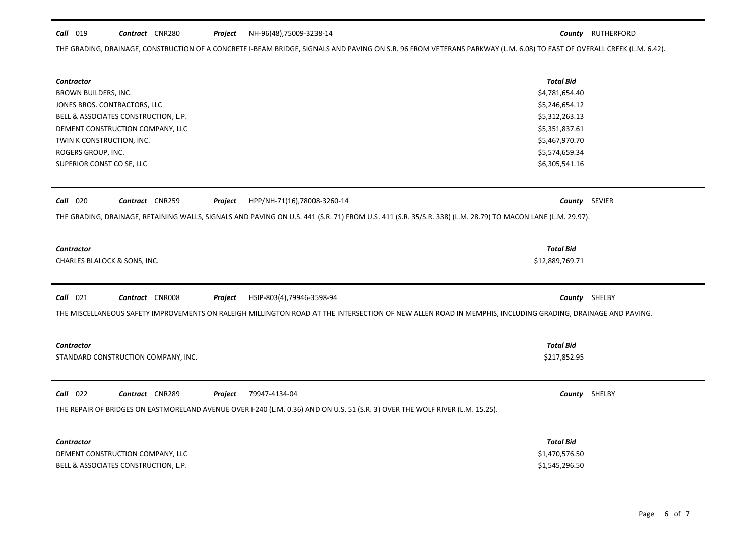## *Call* 019 *Contract* CNR280 *Project County* RUTHERFORD NH-96(48),75009-3238-14

THE GRADING, DRAINAGE, CONSTRUCTION OF A CONCRETE I-BEAM BRIDGE, SIGNALS AND PAVING ON S.R. 96 FROM VETERANS PARKWAY (L.M. 6.08) TO EAST OF OVERALL CREEK (L.M. 6.42).

| <b>Contractor</b>                                                                                                                                          | <b>Total Bid</b>                                                     |        |  |
|------------------------------------------------------------------------------------------------------------------------------------------------------------|----------------------------------------------------------------------|--------|--|
| BROWN BUILDERS, INC.                                                                                                                                       | \$4,781,654.40                                                       |        |  |
| JONES BROS. CONTRACTORS, LLC                                                                                                                               | \$5,246,654.12<br>\$5,312,263.13<br>\$5,351,837.61<br>\$5,467,970.70 |        |  |
| BELL & ASSOCIATES CONSTRUCTION, L.P.                                                                                                                       |                                                                      |        |  |
| DEMENT CONSTRUCTION COMPANY, LLC                                                                                                                           |                                                                      |        |  |
| TWIN K CONSTRUCTION, INC.                                                                                                                                  |                                                                      |        |  |
| ROGERS GROUP, INC.                                                                                                                                         | \$5,574,659.34                                                       |        |  |
| SUPERIOR CONST CO SE, LLC                                                                                                                                  | \$6,305,541.16                                                       |        |  |
|                                                                                                                                                            |                                                                      |        |  |
| <b>Call</b> 020<br>Contract CNR259<br>HPP/NH-71(16),78008-3260-14<br>Project                                                                               | County                                                               | SEVIER |  |
| THE GRADING, DRAINAGE, RETAINING WALLS, SIGNALS AND PAVING ON U.S. 441 (S.R. 71) FROM U.S. 411 (S.R. 35/S.R. 338) (L.M. 28.79) TO MACON LANE (L.M. 29.97). |                                                                      |        |  |
|                                                                                                                                                            |                                                                      |        |  |
|                                                                                                                                                            |                                                                      |        |  |
| <b>Contractor</b>                                                                                                                                          | <b>Total Bid</b>                                                     |        |  |
| CHARLES BLALOCK & SONS, INC.                                                                                                                               | \$12,889,769.71                                                      |        |  |
|                                                                                                                                                            |                                                                      |        |  |
| <b>Call</b> 021<br>Contract CNR008<br>HSIP-803(4),79946-3598-94<br>Project                                                                                 | County                                                               | SHELBY |  |
| THE MISCELLANEOUS SAFETY IMPROVEMENTS ON RALEIGH MILLINGTON ROAD AT THE INTERSECTION OF NEW ALLEN ROAD IN MEMPHIS, INCLUDING GRADING, DRAINAGE AND PAVING. |                                                                      |        |  |
|                                                                                                                                                            |                                                                      |        |  |
|                                                                                                                                                            |                                                                      |        |  |
| <b>Contractor</b>                                                                                                                                          | <b>Total Bid</b>                                                     |        |  |
| STANDARD CONSTRUCTION COMPANY, INC.                                                                                                                        | \$217,852.95                                                         |        |  |
|                                                                                                                                                            |                                                                      |        |  |
| <b>Call</b> 022<br>Contract CNR289<br>79947-4134-04<br>Project                                                                                             | County                                                               | SHELBY |  |
| THE REPAIR OF BRIDGES ON EASTMORELAND AVENUE OVER I-240 (L.M. 0.36) AND ON U.S. 51 (S.R. 3) OVER THE WOLF RIVER (L.M. 15.25).                              |                                                                      |        |  |
|                                                                                                                                                            |                                                                      |        |  |
|                                                                                                                                                            |                                                                      |        |  |
| Contractor                                                                                                                                                 | <b>Total Bid</b>                                                     |        |  |

DEMENT CONSTRUCTION COMPANY, LLC  $$1,470,576.50$ BELL & ASSOCIATES CONSTRUCTION, L.P. 61,545,296.50

 $\blacksquare$